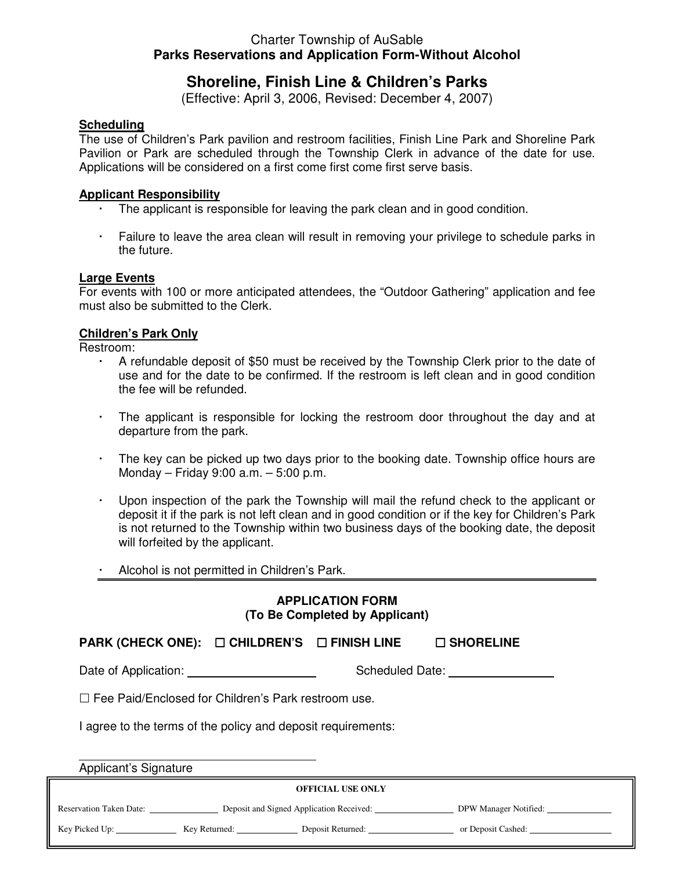## Charter Township of AuSable **Parks Reservations and Application Form-Without Alcohol**

# **Shoreline, Finish Line & Children's Parks**

(Effective: April 3, 2006, Revised: December 4, 2007)

### **Scheduling**

The use of Children's Park pavilion and restroom facilities, Finish Line Park and Shoreline Park Pavilion or Park are scheduled through the Township Clerk in advance of the date for use. Applications will be considered on a first come first come first serve basis.

#### **Applicant Responsibility**

- The applicant is responsible for leaving the park clean and in good condition.
- Failure to leave the area clean will result in removing your privilege to schedule parks in the future.

#### **Large Events**

For events with 100 or more anticipated attendees, the "Outdoor Gathering" application and fee must also be submitted to the Clerk.

### **Children's Park Only**

Restroom:

- A refundable deposit of \$50 must be received by the Township Clerk prior to the date of use and for the date to be confirmed. If the restroom is left clean and in good condition the fee will be refunded.
- The applicant is responsible for locking the restroom door throughout the day and at departure from the park.
- The key can be picked up two days prior to the booking date. Township office hours are Monday – Friday 9:00 a.m. – 5:00 p.m.
- Upon inspection of the park the Township will mail the refund check to the applicant or deposit it if the park is not left clean and in good condition or if the key for Children's Park is not returned to the Township within two business days of the booking date, the deposit will forfeited by the applicant.
- Alcohol is not permitted in Children's Park.

### **APPLICATION FORM (To Be Completed by Applicant)**

**PARK (CHECK ONE): □ CHILDREN'S □ FINISH LINE □ SHORELINE** 

Date of Application: Scheduled Date: Scheduled Date:

 $\Box$  Fee Paid/Enclosed for Children's Park restroom use.

I agree to the terms of the policy and deposit requirements:

Applicant's Signature

 $\overline{a}$ 

| <b>OFFICIAL USE ONLY</b>       |               |                                          |                       |  |
|--------------------------------|---------------|------------------------------------------|-----------------------|--|
| <b>Reservation Taken Date:</b> |               | Deposit and Signed Application Received: | DPW Manager Notified: |  |
| Key Picked Up:                 | Key Returned: | Deposit Returned:                        | or Deposit Cashed:    |  |